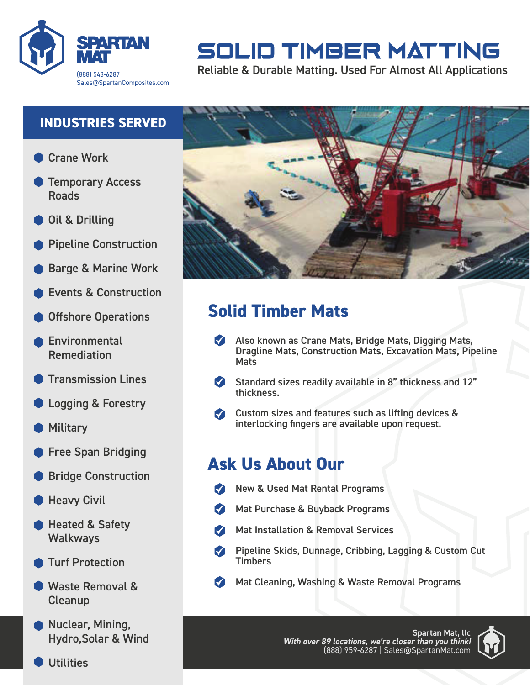

# **SOLID TIMBER MATTING**

Reliable & Durable Matting. Used For Almost All Applications

#### **INDUSTRIES SERVED**

- Crane Work
- Temporary Access Roads
- Oil & Drilling
- Pipeline Construction
- Barge & Marine Work
- Events & Construction
- Offshore Operations
- Environmental Remediation
- Transmission Lines
- **C** Logging & Forestry
- **Military**
- **Free Span Bridging**
- Bridge Construction
- Heavy Civil
- **Heated & Safety Walkways**
- Turf Protection
- Waste Removal & Cleanup
- **Nuclear, Mining,** Hydro,Solar & Wind

**Utilities** 



# **Solid Timber Mats**

- Also known as Crane Mats, Bridge Mats, Digging Mats, Dragline Mats, Construction Mats, Excavation Mats, Pipeline **Mats**
- Standard sizes readily available in 8" thickness and 12"  $\blacksquare$ thickness.
- Custom sizes and features such as lifting devices & interlocking fingers are available upon request.

# **Ask Us About Our**

- New & Used Mat Rental Programs
- Mat Purchase & Buyback Programs **M**
- Mat Installation & Removal Services  $\blacksquare$
- Pipeline Skids, Dunnage, Cribbing, Lagging & Custom Cut **Timbers**
- Mat Cleaning, Washing & Waste Removal Programs